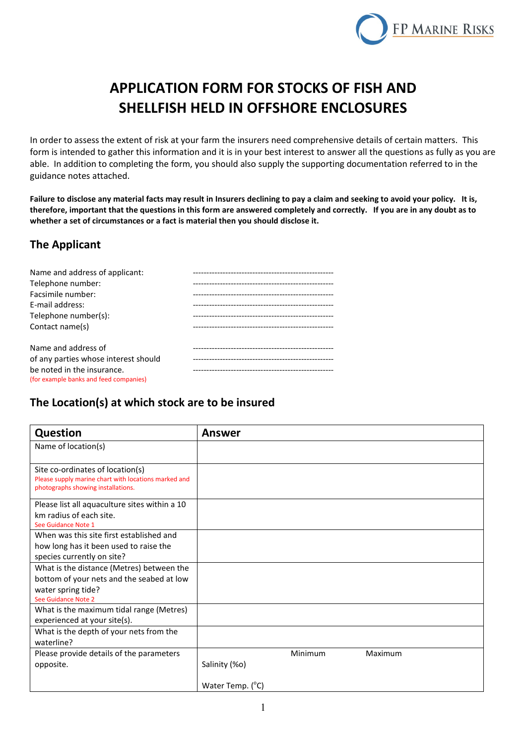

# **APPLICATION FORM FOR STOCKS OF FISH AND SHELLFISH HELD IN OFFSHORE ENCLOSURES**

In order to assess the extent of risk at your farm the insurers need comprehensive details of certain matters. This form is intended to gather this information and it is in your best interest to answer all the questions as fully as you are able. In addition to completing the form, you should also supply the supporting documentation referred to in the guidance notes attached.

**Failure to disclose any material facts may result in Insurers declining to pay a claim and seeking to avoid your policy. It is, therefore, important that the questions in this form are answered completely and correctly. If you are in any doubt as to whether a set of circumstances or a fact is material then you should disclose it.**

### **The Applicant**

| Name and address of applicant:         | ------------------------------------ |
|----------------------------------------|--------------------------------------|
| Telephone number:                      |                                      |
| Facsimile number:                      |                                      |
| E-mail address:                        |                                      |
| Telephone number(s):                   |                                      |
| Contact name(s)                        |                                      |
| Name and address of                    |                                      |
| of any parties whose interest should   |                                      |
| be noted in the insurance.             |                                      |
| (for example banks and feed companies) |                                      |

### **The Location(s) at which stock are to be insured**

| Question                                                                                   | <b>Answer</b>      |
|--------------------------------------------------------------------------------------------|--------------------|
| Name of location(s)                                                                        |                    |
|                                                                                            |                    |
| Site co-ordinates of location(s)                                                           |                    |
| Please supply marine chart with locations marked and<br>photographs showing installations. |                    |
|                                                                                            |                    |
| Please list all aquaculture sites within a 10<br>km radius of each site.                   |                    |
| See Guidance Note 1                                                                        |                    |
| When was this site first established and                                                   |                    |
| how long has it been used to raise the                                                     |                    |
| species currently on site?                                                                 |                    |
| What is the distance (Metres) between the                                                  |                    |
| bottom of your nets and the seabed at low                                                  |                    |
| water spring tide?                                                                         |                    |
| See Guidance Note 2                                                                        |                    |
| What is the maximum tidal range (Metres)                                                   |                    |
| experienced at your site(s).                                                               |                    |
| What is the depth of your nets from the                                                    |                    |
| waterline?                                                                                 |                    |
| Please provide details of the parameters                                                   | Minimum<br>Maximum |
| opposite.                                                                                  | Salinity (%o)      |
|                                                                                            | Water Temp. (C)    |
|                                                                                            |                    |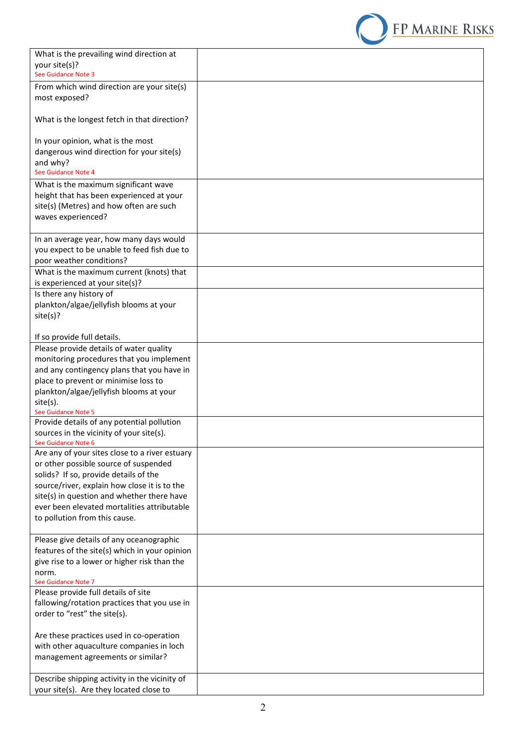

| What is the prevailing wind direction at                   |  |
|------------------------------------------------------------|--|
| your site(s)?                                              |  |
| See Guidance Note 3                                        |  |
| From which wind direction are your site(s)                 |  |
| most exposed?                                              |  |
|                                                            |  |
| What is the longest fetch in that direction?               |  |
|                                                            |  |
| In your opinion, what is the most                          |  |
| dangerous wind direction for your site(s)                  |  |
| and why?                                                   |  |
| See Guidance Note 4                                        |  |
| What is the maximum significant wave                       |  |
| height that has been experienced at your                   |  |
| site(s) (Metres) and how often are such                    |  |
| waves experienced?                                         |  |
|                                                            |  |
| In an average year, how many days would                    |  |
| you expect to be unable to feed fish due to                |  |
| poor weather conditions?                                   |  |
| What is the maximum current (knots) that                   |  |
| is experienced at your site(s)?                            |  |
| Is there any history of                                    |  |
| plankton/algae/jellyfish blooms at your                    |  |
| site(s)?                                                   |  |
|                                                            |  |
| If so provide full details.                                |  |
| Please provide details of water quality                    |  |
| monitoring procedures that you implement                   |  |
| and any contingency plans that you have in                 |  |
| place to prevent or minimise loss to                       |  |
| plankton/algae/jellyfish blooms at your                    |  |
| site(s).                                                   |  |
| See Guidance Note 5                                        |  |
| Provide details of any potential pollution                 |  |
| sources in the vicinity of your site(s).                   |  |
| See Guidance Note 6                                        |  |
| Are any of your sites close to a river estuary             |  |
| or other possible source of suspended                      |  |
| solids? If so, provide details of the                      |  |
| source/river, explain how close it is to the               |  |
| site(s) in question and whether there have                 |  |
| ever been elevated mortalities attributable                |  |
| to pollution from this cause.                              |  |
|                                                            |  |
| Please give details of any oceanographic                   |  |
| features of the site(s) which in your opinion              |  |
| give rise to a lower or higher risk than the               |  |
| norm.                                                      |  |
| See Guidance Note 7<br>Please provide full details of site |  |
| fallowing/rotation practices that you use in               |  |
| order to "rest" the site(s).                               |  |
|                                                            |  |
| Are these practices used in co-operation                   |  |
| with other aquaculture companies in loch                   |  |
| management agreements or similar?                          |  |
|                                                            |  |
| Describe shipping activity in the vicinity of              |  |
| your site(s). Are they located close to                    |  |
|                                                            |  |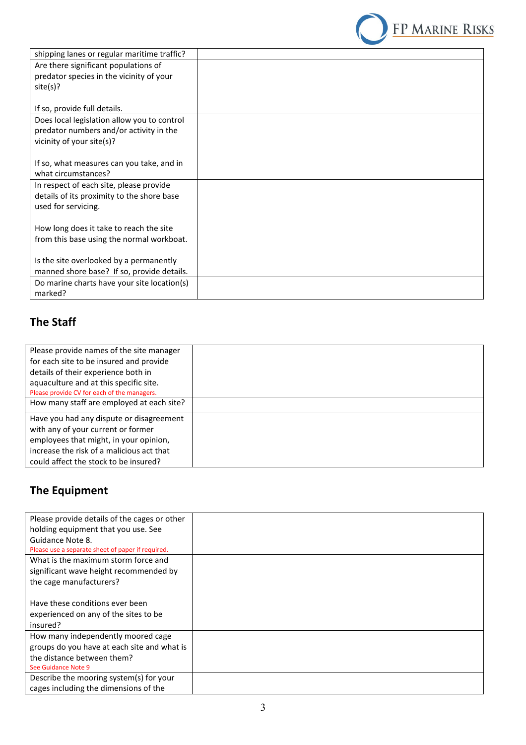

| shipping lanes or regular maritime traffic? |  |
|---------------------------------------------|--|
| Are there significant populations of        |  |
| predator species in the vicinity of your    |  |
| site(s)?                                    |  |
|                                             |  |
| If so, provide full details.                |  |
| Does local legislation allow you to control |  |
| predator numbers and/or activity in the     |  |
| vicinity of your site(s)?                   |  |
|                                             |  |
| If so, what measures can you take, and in   |  |
| what circumstances?                         |  |
| In respect of each site, please provide     |  |
| details of its proximity to the shore base  |  |
| used for servicing.                         |  |
|                                             |  |
| How long does it take to reach the site     |  |
| from this base using the normal workboat.   |  |
|                                             |  |
| Is the site overlooked by a permanently     |  |
| manned shore base? If so, provide details.  |  |
| Do marine charts have your site location(s) |  |
| marked?                                     |  |

### **The Staff**

| Please provide names of the site manager    |  |
|---------------------------------------------|--|
| for each site to be insured and provide     |  |
| details of their experience both in         |  |
| aquaculture and at this specific site.      |  |
| Please provide CV for each of the managers. |  |
| How many staff are employed at each site?   |  |
| Have you had any dispute or disagreement    |  |
| with any of your current or former          |  |
| employees that might, in your opinion,      |  |
| increase the risk of a malicious act that   |  |
| could affect the stock to be insured?       |  |

# **The Equipment**

| Please provide details of the cages or other      |  |
|---------------------------------------------------|--|
| holding equipment that you use. See               |  |
| Guidance Note 8.                                  |  |
| Please use a separate sheet of paper if required. |  |
| What is the maximum storm force and               |  |
| significant wave height recommended by            |  |
| the cage manufacturers?                           |  |
|                                                   |  |
| Have these conditions ever been                   |  |
| experienced on any of the sites to be             |  |
| insured?                                          |  |
| How many independently moored cage                |  |
| groups do you have at each site and what is       |  |
| the distance between them?                        |  |
| See Guidance Note 9                               |  |
| Describe the mooring system(s) for your           |  |
| cages including the dimensions of the             |  |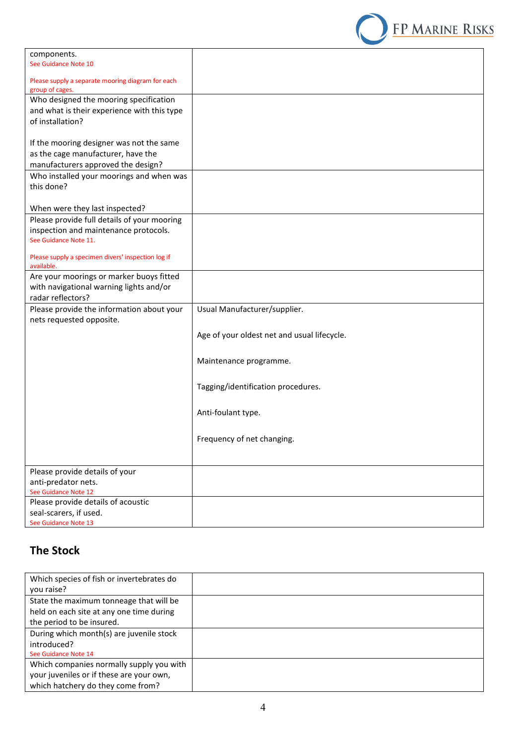

| components.                                               |                                             |
|-----------------------------------------------------------|---------------------------------------------|
| See Guidance Note 10                                      |                                             |
|                                                           |                                             |
| Please supply a separate mooring diagram for each         |                                             |
| group of cages.<br>Who designed the mooring specification |                                             |
|                                                           |                                             |
| and what is their experience with this type               |                                             |
| of installation?                                          |                                             |
|                                                           |                                             |
| If the mooring designer was not the same                  |                                             |
| as the cage manufacturer, have the                        |                                             |
| manufacturers approved the design?                        |                                             |
| Who installed your moorings and when was                  |                                             |
| this done?                                                |                                             |
|                                                           |                                             |
| When were they last inspected?                            |                                             |
| Please provide full details of your mooring               |                                             |
| inspection and maintenance protocols.                     |                                             |
| See Guidance Note 11.                                     |                                             |
|                                                           |                                             |
| Please supply a specimen divers' inspection log if        |                                             |
| available.                                                |                                             |
| Are your moorings or marker buoys fitted                  |                                             |
| with navigational warning lights and/or                   |                                             |
| radar reflectors?                                         |                                             |
| Please provide the information about your                 | Usual Manufacturer/supplier.                |
| nets requested opposite.                                  |                                             |
|                                                           |                                             |
|                                                           | Age of your oldest net and usual lifecycle. |
|                                                           |                                             |
|                                                           | Maintenance programme.                      |
|                                                           |                                             |
|                                                           |                                             |
|                                                           | Tagging/identification procedures.          |
|                                                           |                                             |
|                                                           | Anti-foulant type.                          |
|                                                           |                                             |
|                                                           |                                             |
|                                                           | Frequency of net changing.                  |
|                                                           |                                             |
|                                                           |                                             |
| Please provide details of your                            |                                             |
| anti-predator nets.                                       |                                             |
| See Guidance Note 12                                      |                                             |
| Please provide details of acoustic                        |                                             |
| seal-scarers, if used.                                    |                                             |
| See Guidance Note 13                                      |                                             |

## **The Stock**

| Which species of fish or invertebrates do |  |
|-------------------------------------------|--|
| you raise?                                |  |
| State the maximum tonneage that will be   |  |
| held on each site at any one time during  |  |
| the period to be insured.                 |  |
| During which month(s) are juvenile stock  |  |
| introduced?                               |  |
| See Guidance Note 14                      |  |
| Which companies normally supply you with  |  |
| your juveniles or if these are your own,  |  |
| which hatchery do they come from?         |  |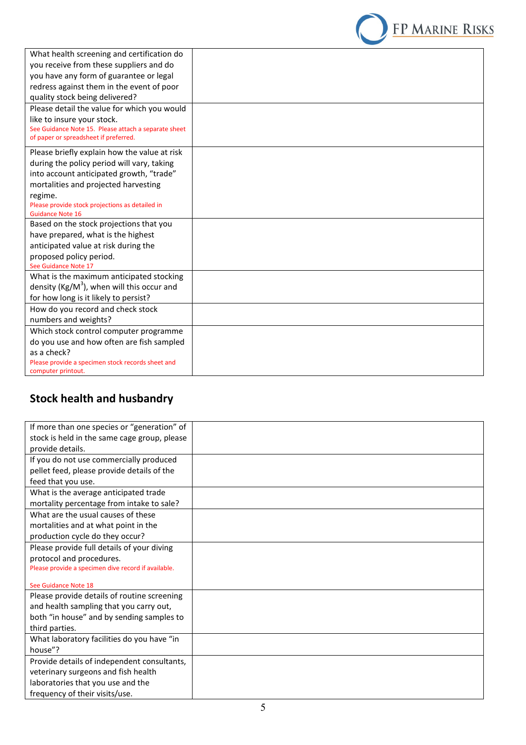

| What health screening and certification do<br>you receive from these suppliers and do<br>you have any form of guarantee or legal<br>redress against them in the event of poor<br>quality stock being delivered?<br>Please detail the value for which you would<br>like to insure your stock.<br>See Guidance Note 15. Please attach a separate sheet<br>of paper or spreadsheet if preferred.<br>Please briefly explain how the value at risk<br>during the policy period will vary, taking<br>into account anticipated growth, "trade"<br>mortalities and projected harvesting<br>regime.<br>Please provide stock projections as detailed in<br><b>Guidance Note 16</b><br>Based on the stock projections that you<br>have prepared, what is the highest<br>anticipated value at risk during the<br>proposed policy period.<br>See Guidance Note 17<br>What is the maximum anticipated stocking<br>density (Kg/M <sup>3</sup> ), when will this occur and<br>for how long is it likely to persist?<br>How do you record and check stock<br>numbers and weights?<br>Which stock control computer programme<br>do you use and how often are fish sampled<br>as a check?<br>Please provide a specimen stock records sheet and<br>computer printout. |  |
|---------------------------------------------------------------------------------------------------------------------------------------------------------------------------------------------------------------------------------------------------------------------------------------------------------------------------------------------------------------------------------------------------------------------------------------------------------------------------------------------------------------------------------------------------------------------------------------------------------------------------------------------------------------------------------------------------------------------------------------------------------------------------------------------------------------------------------------------------------------------------------------------------------------------------------------------------------------------------------------------------------------------------------------------------------------------------------------------------------------------------------------------------------------------------------------------------------------------------------------------------|--|
|                                                                                                                                                                                                                                                                                                                                                                                                                                                                                                                                                                                                                                                                                                                                                                                                                                                                                                                                                                                                                                                                                                                                                                                                                                                   |  |
|                                                                                                                                                                                                                                                                                                                                                                                                                                                                                                                                                                                                                                                                                                                                                                                                                                                                                                                                                                                                                                                                                                                                                                                                                                                   |  |
|                                                                                                                                                                                                                                                                                                                                                                                                                                                                                                                                                                                                                                                                                                                                                                                                                                                                                                                                                                                                                                                                                                                                                                                                                                                   |  |
|                                                                                                                                                                                                                                                                                                                                                                                                                                                                                                                                                                                                                                                                                                                                                                                                                                                                                                                                                                                                                                                                                                                                                                                                                                                   |  |
|                                                                                                                                                                                                                                                                                                                                                                                                                                                                                                                                                                                                                                                                                                                                                                                                                                                                                                                                                                                                                                                                                                                                                                                                                                                   |  |
|                                                                                                                                                                                                                                                                                                                                                                                                                                                                                                                                                                                                                                                                                                                                                                                                                                                                                                                                                                                                                                                                                                                                                                                                                                                   |  |
|                                                                                                                                                                                                                                                                                                                                                                                                                                                                                                                                                                                                                                                                                                                                                                                                                                                                                                                                                                                                                                                                                                                                                                                                                                                   |  |
|                                                                                                                                                                                                                                                                                                                                                                                                                                                                                                                                                                                                                                                                                                                                                                                                                                                                                                                                                                                                                                                                                                                                                                                                                                                   |  |
|                                                                                                                                                                                                                                                                                                                                                                                                                                                                                                                                                                                                                                                                                                                                                                                                                                                                                                                                                                                                                                                                                                                                                                                                                                                   |  |
|                                                                                                                                                                                                                                                                                                                                                                                                                                                                                                                                                                                                                                                                                                                                                                                                                                                                                                                                                                                                                                                                                                                                                                                                                                                   |  |
|                                                                                                                                                                                                                                                                                                                                                                                                                                                                                                                                                                                                                                                                                                                                                                                                                                                                                                                                                                                                                                                                                                                                                                                                                                                   |  |
|                                                                                                                                                                                                                                                                                                                                                                                                                                                                                                                                                                                                                                                                                                                                                                                                                                                                                                                                                                                                                                                                                                                                                                                                                                                   |  |
|                                                                                                                                                                                                                                                                                                                                                                                                                                                                                                                                                                                                                                                                                                                                                                                                                                                                                                                                                                                                                                                                                                                                                                                                                                                   |  |
|                                                                                                                                                                                                                                                                                                                                                                                                                                                                                                                                                                                                                                                                                                                                                                                                                                                                                                                                                                                                                                                                                                                                                                                                                                                   |  |
|                                                                                                                                                                                                                                                                                                                                                                                                                                                                                                                                                                                                                                                                                                                                                                                                                                                                                                                                                                                                                                                                                                                                                                                                                                                   |  |
|                                                                                                                                                                                                                                                                                                                                                                                                                                                                                                                                                                                                                                                                                                                                                                                                                                                                                                                                                                                                                                                                                                                                                                                                                                                   |  |
|                                                                                                                                                                                                                                                                                                                                                                                                                                                                                                                                                                                                                                                                                                                                                                                                                                                                                                                                                                                                                                                                                                                                                                                                                                                   |  |
|                                                                                                                                                                                                                                                                                                                                                                                                                                                                                                                                                                                                                                                                                                                                                                                                                                                                                                                                                                                                                                                                                                                                                                                                                                                   |  |
|                                                                                                                                                                                                                                                                                                                                                                                                                                                                                                                                                                                                                                                                                                                                                                                                                                                                                                                                                                                                                                                                                                                                                                                                                                                   |  |
|                                                                                                                                                                                                                                                                                                                                                                                                                                                                                                                                                                                                                                                                                                                                                                                                                                                                                                                                                                                                                                                                                                                                                                                                                                                   |  |
|                                                                                                                                                                                                                                                                                                                                                                                                                                                                                                                                                                                                                                                                                                                                                                                                                                                                                                                                                                                                                                                                                                                                                                                                                                                   |  |
|                                                                                                                                                                                                                                                                                                                                                                                                                                                                                                                                                                                                                                                                                                                                                                                                                                                                                                                                                                                                                                                                                                                                                                                                                                                   |  |
|                                                                                                                                                                                                                                                                                                                                                                                                                                                                                                                                                                                                                                                                                                                                                                                                                                                                                                                                                                                                                                                                                                                                                                                                                                                   |  |

# **Stock health and husbandry**

| If more than one species or "generation" of         |  |
|-----------------------------------------------------|--|
| stock is held in the same cage group, please        |  |
| provide details.                                    |  |
| If you do not use commercially produced             |  |
| pellet feed, please provide details of the          |  |
| feed that you use.                                  |  |
| What is the average anticipated trade               |  |
| mortality percentage from intake to sale?           |  |
| What are the usual causes of these                  |  |
| mortalities and at what point in the                |  |
| production cycle do they occur?                     |  |
| Please provide full details of your diving          |  |
| protocol and procedures.                            |  |
| Please provide a specimen dive record if available. |  |
| See Guidance Note 18                                |  |
| Please provide details of routine screening         |  |
| and health sampling that you carry out,             |  |
| both "in house" and by sending samples to           |  |
| third parties.                                      |  |
| What laboratory facilities do you have "in          |  |
| house"?                                             |  |
| Provide details of independent consultants,         |  |
| veterinary surgeons and fish health                 |  |
| laboratories that you use and the                   |  |
| frequency of their visits/use.                      |  |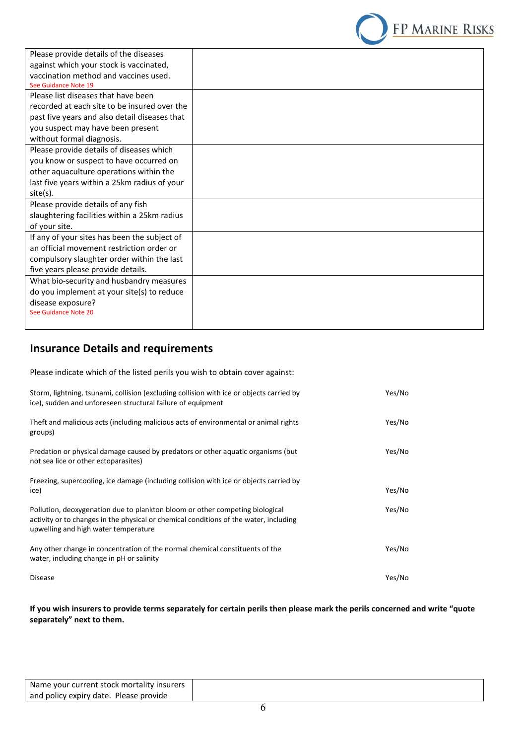

| Please provide details of the diseases        |  |
|-----------------------------------------------|--|
| against which your stock is vaccinated,       |  |
| vaccination method and vaccines used.         |  |
| See Guidance Note 19                          |  |
| Please list diseases that have been           |  |
| recorded at each site to be insured over the  |  |
| past five years and also detail diseases that |  |
| you suspect may have been present             |  |
| without formal diagnosis.                     |  |
| Please provide details of diseases which      |  |
| you know or suspect to have occurred on       |  |
| other aquaculture operations within the       |  |
| last five years within a 25km radius of your  |  |
| site(s).                                      |  |
| Please provide details of any fish            |  |
| slaughtering facilities within a 25km radius  |  |
| of your site.                                 |  |
| If any of your sites has been the subject of  |  |
| an official movement restriction order or     |  |
| compulsory slaughter order within the last    |  |
| five years please provide details.            |  |
| What bio-security and husbandry measures      |  |
| do you implement at your site(s) to reduce    |  |
| disease exposure?                             |  |
| See Guidance Note 20                          |  |
|                                               |  |

### **Insurance Details and requirements**

Please indicate which of the listed perils you wish to obtain cover against:

| Storm, lightning, tsunami, collision (excluding collision with ice or objects carried by<br>ice), sudden and unforeseen structural failure of equipment                                                       | Yes/No |
|---------------------------------------------------------------------------------------------------------------------------------------------------------------------------------------------------------------|--------|
| Theft and malicious acts (including malicious acts of environmental or animal rights<br>groups)                                                                                                               | Yes/No |
| Predation or physical damage caused by predators or other aquatic organisms (but<br>not sea lice or other ectoparasites)                                                                                      | Yes/No |
| Freezing, supercooling, ice damage (including collision with ice or objects carried by<br>ice)                                                                                                                | Yes/No |
| Pollution, deoxygenation due to plankton bloom or other competing biological<br>activity or to changes in the physical or chemical conditions of the water, including<br>upwelling and high water temperature | Yes/No |
| Any other change in concentration of the normal chemical constituents of the<br>water, including change in pH or salinity                                                                                     | Yes/No |
| <b>Disease</b>                                                                                                                                                                                                | Yes/No |

**If you wish insurers to provide terms separately for certain perils then please mark the perils concerned and write "quote separately" next to them.**

| Name your current stock mortality insurers |  |  |
|--------------------------------------------|--|--|
| and policy expiry date. Please provide     |  |  |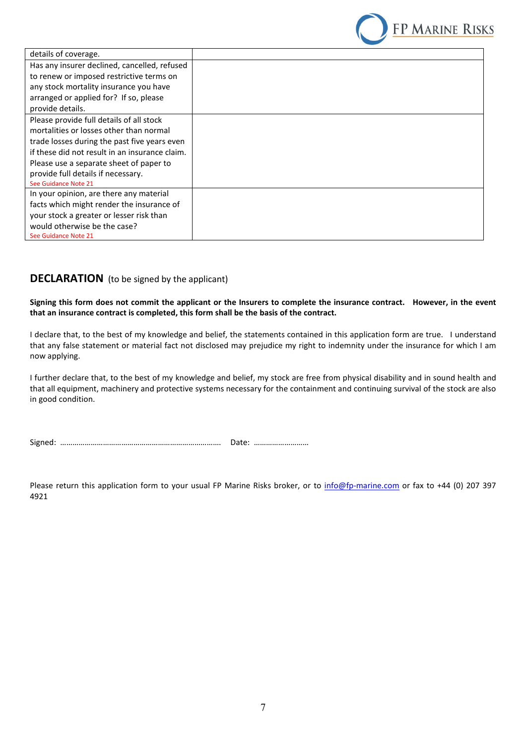

| details of coverage.                           |  |
|------------------------------------------------|--|
| Has any insurer declined, cancelled, refused   |  |
| to renew or imposed restrictive terms on       |  |
| any stock mortality insurance you have         |  |
| arranged or applied for? If so, please         |  |
| provide details.                               |  |
| Please provide full details of all stock       |  |
| mortalities or losses other than normal        |  |
| trade losses during the past five years even   |  |
| if these did not result in an insurance claim. |  |
| Please use a separate sheet of paper to        |  |
| provide full details if necessary.             |  |
| See Guidance Note 21                           |  |
| In your opinion, are there any material        |  |
| facts which might render the insurance of      |  |
| your stock a greater or lesser risk than       |  |
| would otherwise be the case?                   |  |
| See Guidance Note 21                           |  |

#### **DECLARATION** (to be signed by the applicant)

**Signing this form does not commit the applicant or the Insurers to complete the insurance contract. However, in the event that an insurance contract is completed, this form shall be the basis of the contract.**

I declare that, to the best of my knowledge and belief, the statements contained in this application form are true. I understand that any false statement or material fact not disclosed may prejudice my right to indemnity under the insurance for which I am now applying.

I further declare that, to the best of my knowledge and belief, my stock are free from physical disability and in sound health and that all equipment, machinery and protective systems necessary for the containment and continuing survival of the stock are also in good condition.

Signed: ……………………………………………………………………. Date: ………………………

Please return this application form to your usual FP Marine Risks broker, or to info@fp-marine.com or fax to +44 (0) 207 397 4921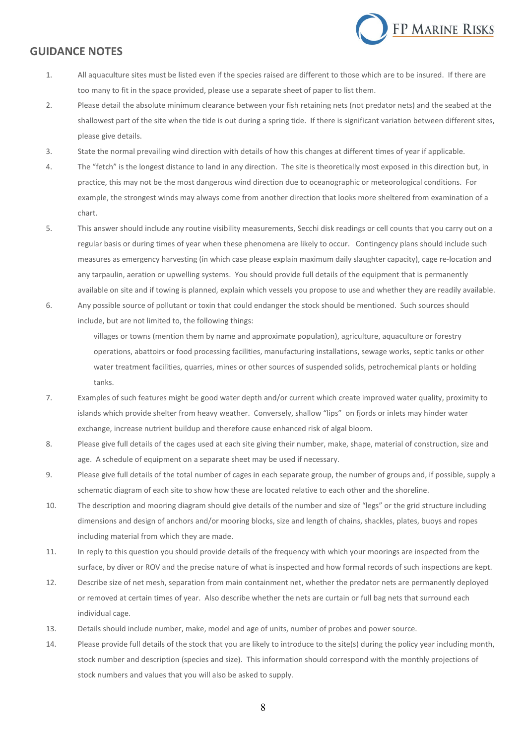

#### **GUIDANCE NOTES**

- 1. All aquaculture sites must be listed even if the species raised are different to those which are to be insured. If there are too many to fit in the space provided, please use a separate sheet of paper to list them.
- 2. Please detail the absolute minimum clearance between your fish retaining nets (not predator nets) and the seabed at the shallowest part of the site when the tide is out during a spring tide. If there is significant variation between different sites, please give details.
- 3. State the normal prevailing wind direction with details of how this changes at different times of year if applicable.
- 4. The "fetch" is the longest distance to land in any direction. The site is theoretically most exposed in this direction but, in practice, this may not be the most dangerous wind direction due to oceanographic or meteorological conditions. For example, the strongest winds may always come from another direction that looks more sheltered from examination of a chart.
- 5. This answer should include any routine visibility measurements, Secchi disk readings or cell counts that you carry out on a regular basis or during times of year when these phenomena are likely to occur. Contingency plans should include such measures as emergency harvesting (in which case please explain maximum daily slaughter capacity), cage re-location and any tarpaulin, aeration or upwelling systems. You should provide full details of the equipment that is permanently available on site and if towing is planned, explain which vessels you propose to use and whether they are readily available.
- 6. Any possible source of pollutant or toxin that could endanger the stock should be mentioned. Such sources should include, but are not limited to, the following things:

villages or towns (mention them by name and approximate population), agriculture, aquaculture or forestry operations, abattoirs or food processing facilities, manufacturing installations, sewage works, septic tanks or other water treatment facilities, quarries, mines or other sources of suspended solids, petrochemical plants or holding tanks.

- 7. Examples of such features might be good water depth and/or current which create improved water quality, proximity to islands which provide shelter from heavy weather. Conversely, shallow "lips" on fjords or inlets may hinder water exchange, increase nutrient buildup and therefore cause enhanced risk of algal bloom.
- 8. Please give full details of the cages used at each site giving their number, make, shape, material of construction, size and age. A schedule of equipment on a separate sheet may be used if necessary.
- 9. Please give full details of the total number of cages in each separate group, the number of groups and, if possible, supply a schematic diagram of each site to show how these are located relative to each other and the shoreline.
- 10. The description and mooring diagram should give details of the number and size of "legs" or the grid structure including dimensions and design of anchors and/or mooring blocks, size and length of chains, shackles, plates, buoys and ropes including material from which they are made.
- 11. In reply to this question you should provide details of the frequency with which your moorings are inspected from the surface, by diver or ROV and the precise nature of what is inspected and how formal records of such inspections are kept.
- 12. Describe size of net mesh, separation from main containment net, whether the predator nets are permanently deployed or removed at certain times of year. Also describe whether the nets are curtain or full bag nets that surround each individual cage.
- 13. Details should include number, make, model and age of units, number of probes and power source.
- 14. Please provide full details of the stock that you are likely to introduce to the site(s) during the policy year including month, stock number and description (species and size). This information should correspond with the monthly projections of stock numbers and values that you will also be asked to supply.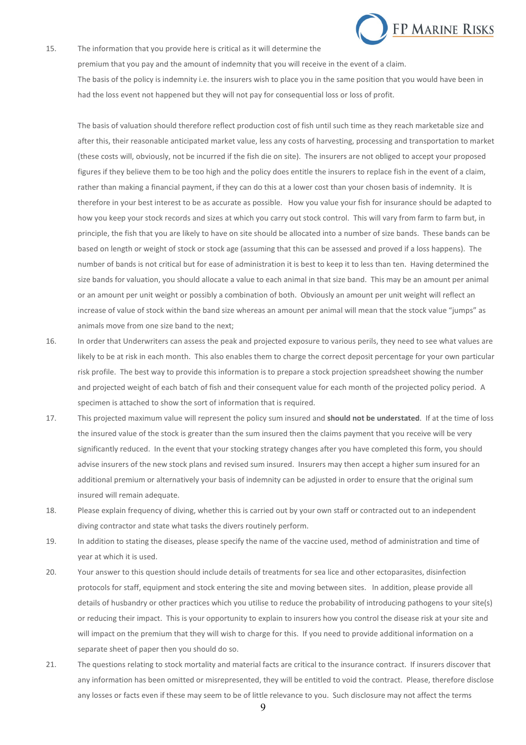

15. The information that you provide here is critical as it will determine the premium that you pay and the amount of indemnity that you will receive in the event of a claim. The basis of the policy is indemnity i.e. the insurers wish to place you in the same position that you would have been in had the loss event not happened but they will not pay for consequential loss or loss of profit.

The basis of valuation should therefore reflect production cost of fish until such time as they reach marketable size and after this, their reasonable anticipated market value, less any costs of harvesting, processing and transportation to market (these costs will, obviously, not be incurred if the fish die on site). The insurers are not obliged to accept your proposed figures if they believe them to be too high and the policy does entitle the insurers to replace fish in the event of a claim, rather than making a financial payment, if they can do this at a lower cost than your chosen basis of indemnity. It is therefore in your best interest to be as accurate as possible. How you value your fish for insurance should be adapted to how you keep your stock records and sizes at which you carry out stock control. This will vary from farm to farm but, in principle, the fish that you are likely to have on site should be allocated into a number of size bands. These bands can be based on length or weight of stock or stock age (assuming that this can be assessed and proved if a loss happens). The number of bands is not critical but for ease of administration it is best to keep it to less than ten. Having determined the size bands for valuation, you should allocate a value to each animal in that size band. This may be an amount per animal or an amount per unit weight or possibly a combination of both. Obviously an amount per unit weight will reflect an increase of value of stock within the band size whereas an amount per animal will mean that the stock value "jumps" as animals move from one size band to the next;

- 16. In order that Underwriters can assess the peak and projected exposure to various perils, they need to see what values are likely to be at risk in each month. This also enables them to charge the correct deposit percentage for your own particular risk profile. The best way to provide this information is to prepare a stock projection spreadsheet showing the number and projected weight of each batch of fish and their consequent value for each month of the projected policy period. A specimen is attached to show the sort of information that is required.
- 17. This projected maximum value will represent the policy sum insured and **should not be understated**. If at the time of loss the insured value of the stock is greater than the sum insured then the claims payment that you receive will be very significantly reduced. In the event that your stocking strategy changes after you have completed this form, you should advise insurers of the new stock plans and revised sum insured. Insurers may then accept a higher sum insured for an additional premium or alternatively your basis of indemnity can be adjusted in order to ensure that the original sum insured will remain adequate.
- 18. Please explain frequency of diving, whether this is carried out by your own staff or contracted out to an independent diving contractor and state what tasks the divers routinely perform.
- 19. In addition to stating the diseases, please specify the name of the vaccine used, method of administration and time of year at which it is used.
- 20. Your answer to this question should include details of treatments for sea lice and other ectoparasites, disinfection protocols for staff, equipment and stock entering the site and moving between sites. In addition, please provide all details of husbandry or other practices which you utilise to reduce the probability of introducing pathogens to your site(s) or reducing their impact. This is your opportunity to explain to insurers how you control the disease risk at your site and will impact on the premium that they will wish to charge for this. If you need to provide additional information on a separate sheet of paper then you should do so.
- 21. The questions relating to stock mortality and material facts are critical to the insurance contract. If insurers discover that any information has been omitted or misrepresented, they will be entitled to void the contract. Please, therefore disclose any losses or facts even if these may seem to be of little relevance to you. Such disclosure may not affect the terms